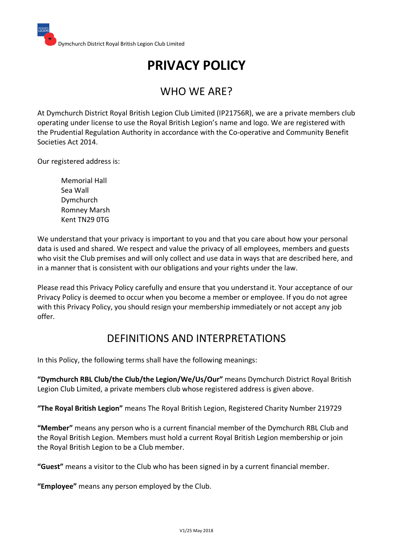# **PRIVACY POLICY**

# WHO WE ARE?

At Dymchurch District Royal British Legion Club Limited (IP21756R), we are a private members club operating under license to use the Royal British Legion's name and logo. We are registered with the Prudential Regulation Authority in accordance with the Co-operative and Community Benefit Societies Act 2014.

Our registered address is:

Memorial Hall Sea Wall Dymchurch Romney Marsh Kent TN29 0TG

We understand that your privacy is important to you and that you care about how your personal data is used and shared. We respect and value the privacy of all employees, members and guests who visit the Club premises and will only collect and use data in ways that are described here, and in a manner that is consistent with our obligations and your rights under the law.

Please read this Privacy Policy carefully and ensure that you understand it. Your acceptance of our Privacy Policy is deemed to occur when you become a member or employee. If you do not agree with this Privacy Policy, you should resign your membership immediately or not accept any job offer.

# DEFINITIONS AND INTERPRETATIONS

In this Policy, the following terms shall have the following meanings:

**"Dymchurch RBL Club/the Club/the Legion/We/Us/Our"** means Dymchurch District Royal British Legion Club Limited, a private members club whose registered address is given above.

**"The Royal British Legion"** means The Royal British Legion, Registered Charity Number 219729

**"Member"** means any person who is a current financial member of the Dymchurch RBL Club and the Royal British Legion. Members must hold a current Royal British Legion membership or join the Royal British Legion to be a Club member.

**"Guest"** means a visitor to the Club who has been signed in by a current financial member.

**"Employee"** means any person employed by the Club.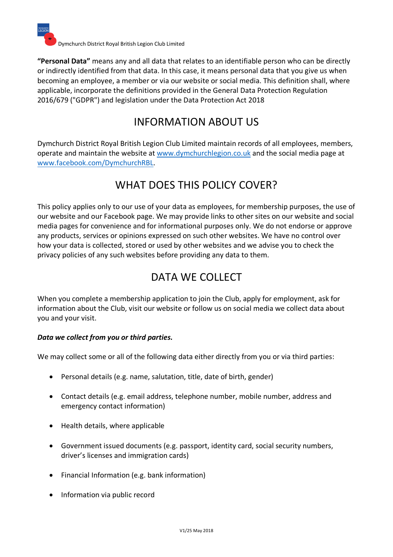

**"Personal Data"** means any and all data that relates to an identifiable person who can be directly or indirectly identified from that data. In this case, it means personal data that you give us when becoming an employee, a member or via our website or social media. This definition shall, where applicable, incorporate the definitions provided in the General Data Protection Regulation 2016/679 ("GDPR") and legislation under the Data Protection Act 2018

# INFORMATION ABOUT US

Dymchurch District Royal British Legion Club Limited maintain records of all employees, members, operate and maintain the website at www.dymchurchlegion.co.uk and the social media page at www.facebook.com/DymchurchRBL.

# WHAT DOES THIS POLICY COVER?

This policy applies only to our use of your data as employees, for membership purposes, the use of our website and our Facebook page. We may provide links to other sites on our website and social media pages for convenience and for informational purposes only. We do not endorse or approve any products, services or opinions expressed on such other websites. We have no control over how your data is collected, stored or used by other websites and we advise you to check the privacy policies of any such websites before providing any data to them.

# DATA WE COLLECT

When you complete a membership application to join the Club, apply for employment, ask for information about the Club, visit our website or follow us on social media we collect data about you and your visit.

#### *Data we collect from you or third parties.*

We may collect some or all of the following data either directly from you or via third parties:

- Personal details (e.g. name, salutation, title, date of birth, gender)
- Contact details (e.g. email address, telephone number, mobile number, address and emergency contact information)
- Health details, where applicable
- Government issued documents (e.g. passport, identity card, social security numbers, driver's licenses and immigration cards)
- Financial Information (e.g. bank information)
- Information via public record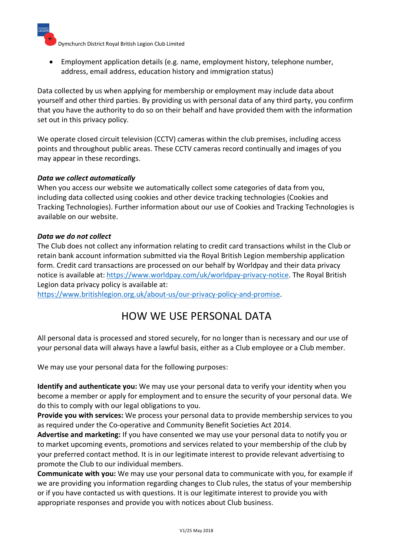Dymchurch District Royal British Legion Club Limited

• Employment application details (e.g. name, employment history, telephone number, address, email address, education history and immigration status)

Data collected by us when applying for membership or employment may include data about yourself and other third parties. By providing us with personal data of any third party, you confirm that you have the authority to do so on their behalf and have provided them with the information set out in this privacy policy.

We operate closed circuit television (CCTV) cameras within the club premises, including access points and throughout public areas. These CCTV cameras record continually and images of you may appear in these recordings.

#### *Data we collect automatically*

When you access our website we automatically collect some categories of data from you, including data collected using cookies and other device tracking technologies (Cookies and Tracking Technologies). Further information about our use of Cookies and Tracking Technologies is available on our website.

#### *Data we do not collect*

The Club does not collect any information relating to credit card transactions whilst in the Club or retain bank account information submitted via the Royal British Legion membership application form. Credit card transactions are processed on our behalf by Worldpay and their data privacy notice is available at: https://www.worldpay.com/uk/worldpay-privacy-notice. The Royal British Legion data privacy policy is available at:

https://www.britishlegion.org.uk/about-us/our-privacy-policy-and-promise.

### HOW WE USE PERSONAL DATA

All personal data is processed and stored securely, for no longer than is necessary and our use of your personal data will always have a lawful basis, either as a Club employee or a Club member.

We may use your personal data for the following purposes:

**Identify and authenticate you:** We may use your personal data to verify your identity when you become a member or apply for employment and to ensure the security of your personal data. We do this to comply with our legal obligations to you.

**Provide you with services:** We process your personal data to provide membership services to you as required under the Co-operative and Community Benefit Societies Act 2014.

**Advertise and marketing:** If you have consented we may use your personal data to notify you or to market upcoming events, promotions and services related to your membership of the club by your preferred contact method. It is in our legitimate interest to provide relevant advertising to promote the Club to our individual members.

**Communicate with you:** We may use your personal data to communicate with you, for example if we are providing you information regarding changes to Club rules, the status of your membership or if you have contacted us with questions. It is our legitimate interest to provide you with appropriate responses and provide you with notices about Club business.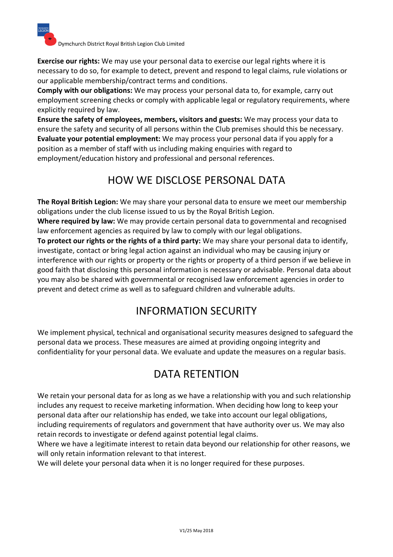

**Exercise our rights:** We may use your personal data to exercise our legal rights where it is necessary to do so, for example to detect, prevent and respond to legal claims, rule violations or our applicable membership/contract terms and conditions.

**Comply with our obligations:** We may process your personal data to, for example, carry out employment screening checks or comply with applicable legal or regulatory requirements, where explicitly required by law.

**Ensure the safety of employees, members, visitors and guests:** We may process your data to ensure the safety and security of all persons within the Club premises should this be necessary. **Evaluate your potential employment:** We may process your personal data if you apply for a position as a member of staff with us including making enquiries with regard to employment/education history and professional and personal references.

# HOW WE DISCLOSE PERSONAL DATA

**The Royal British Legion:** We may share your personal data to ensure we meet our membership obligations under the club license issued to us by the Royal British Legion.

**Where required by law:** We may provide certain personal data to governmental and recognised law enforcement agencies as required by law to comply with our legal obligations.

**To protect our rights or the rights of a third party:** We may share your personal data to identify, investigate, contact or bring legal action against an individual who may be causing injury or interference with our rights or property or the rights or property of a third person if we believe in good faith that disclosing this personal information is necessary or advisable. Personal data about you may also be shared with governmental or recognised law enforcement agencies in order to prevent and detect crime as well as to safeguard children and vulnerable adults.

# INFORMATION SECURITY

We implement physical, technical and organisational security measures designed to safeguard the personal data we process. These measures are aimed at providing ongoing integrity and confidentiality for your personal data. We evaluate and update the measures on a regular basis.

# DATA RETENTION

We retain your personal data for as long as we have a relationship with you and such relationship includes any request to receive marketing information. When deciding how long to keep your personal data after our relationship has ended, we take into account our legal obligations, including requirements of regulators and government that have authority over us. We may also retain records to investigate or defend against potential legal claims.

Where we have a legitimate interest to retain data beyond our relationship for other reasons, we will only retain information relevant to that interest.

We will delete your personal data when it is no longer required for these purposes.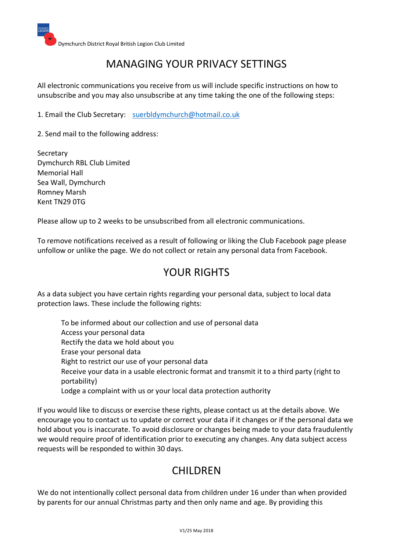### MANAGING YOUR PRIVACY SETTINGS

All electronic communications you receive from us will include specific instructions on how to unsubscribe and you may also unsubscribe at any time taking the one of the following steps:

1. Email the Club Secretary: suerbldymchurch@hotmail.co.uk

2. Send mail to the following address:

Secretary Dymchurch RBL Club Limited Memorial Hall Sea Wall, Dymchurch Romney Marsh Kent TN29 0TG

Please allow up to 2 weeks to be unsubscribed from all electronic communications.

To remove notifications received as a result of following or liking the Club Facebook page please unfollow or unlike the page. We do not collect or retain any personal data from Facebook.

### YOUR RIGHTS

As a data subject you have certain rights regarding your personal data, subject to local data protection laws. These include the following rights:

To be informed about our collection and use of personal data Access your personal data Rectify the data we hold about you Erase your personal data Right to restrict our use of your personal data Receive your data in a usable electronic format and transmit it to a third party (right to portability) Lodge a complaint with us or your local data protection authority

If you would like to discuss or exercise these rights, please contact us at the details above. We encourage you to contact us to update or correct your data if it changes or if the personal data we hold about you is inaccurate. To avoid disclosure or changes being made to your data fraudulently we would require proof of identification prior to executing any changes. Any data subject access requests will be responded to within 30 days.

# CHILDREN

We do not intentionally collect personal data from children under 16 under than when provided by parents for our annual Christmas party and then only name and age. By providing this